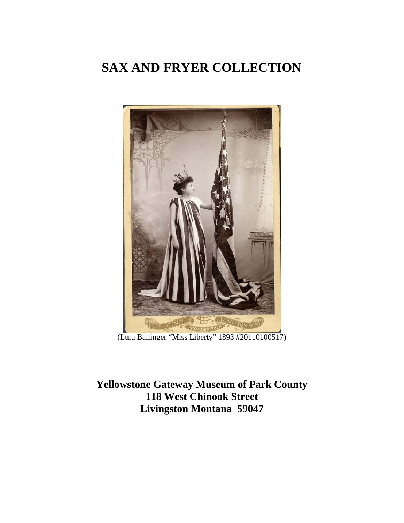

(Lulu Ballinger "Miss Liberty" 1893 #20110100517)

**Yellowstone Gateway Museum of Park County 118 West Chinook Street Livingston Montana 59047**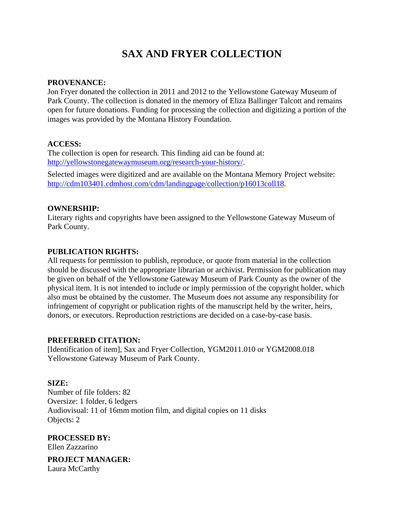#### **PROVENANCE:**

Jon Fryer donated the collection in 2011 and 2012 to the Yellowstone Gateway Museum of Park County. The collection is donated in the memory of Eliza Ballinger Talcott and remains open for future donations. Funding for processing the collection and digitizing a portion of the images was provided by the Montana History Foundation.

#### **ACCESS:**

The collection is open for research. This finding aid can be found at: http://yellowstonegatewaymuseum.org/research-your-history/.

Selected images were digitized and are available on the Montana Memory Project website: http://cdm103401.cdmhost.com/cdm/landingpage/collection/p16013coll18.

#### **OWNERSHIP:**

Literary rights and copyrights have been assigned to the Yellowstone Gateway Museum of Park County.

#### **PUBLICATION RIGHTS:**

All requests for permission to publish, reproduce, or quote from material in the collection should be discussed with the appropriate librarian or archivist. Permission for publication may be given on behalf of the Yellowstone Gateway Museum of Park County as the owner of the physical item. It is not intended to include or imply permission of the copyright holder, which also must be obtained by the customer. The Museum does not assume any responsibility for infringement of copyright or publication rights of the manuscript held by the writer, heirs, donors, or executors. Reproduction restrictions are decided on a case-by-case basis.

#### **PREFERRED CITATION:**

[Identification of item], Sax and Fryer Collection, YGM2011.010 or YGM2008.018 Yellowstone Gateway Museum of Park County.

#### **SIZE:**

Number of file folders: 82 Oversize: 1 folder, 6 ledgers Audiovisual: 11 of 16mm motion film, and digital copies on 11 disks Objects: 2

**PROCESSED BY:**  Ellen Zazzarino **PROJECT MANAGER:** 

Laura McCarthy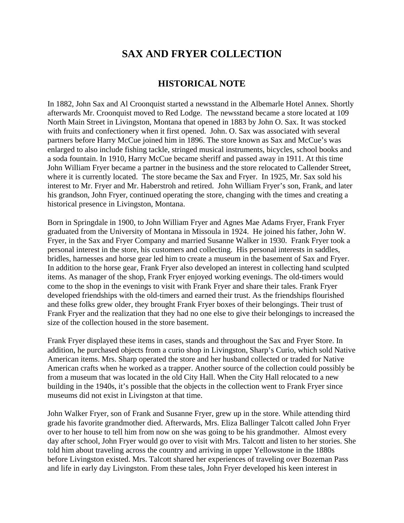#### **HISTORICAL NOTE**

In 1882, John Sax and Al Croonquist started a newsstand in the Albemarle Hotel Annex. Shortly afterwards Mr. Croonquist moved to Red Lodge. The newsstand became a store located at 109 North Main Street in Livingston, Montana that opened in 1883 by John O. Sax. It was stocked with fruits and confectionery when it first opened. John. O. Sax was associated with several partners before Harry McCue joined him in 1896. The store known as Sax and McCue's was enlarged to also include fishing tackle, stringed musical instruments, bicycles, school books and a soda fountain. In 1910, Harry McCue became sheriff and passed away in 1911. At this time John William Fryer became a partner in the business and the store relocated to Callender Street, where it is currently located. The store became the Sax and Fryer. In 1925, Mr. Sax sold his interest to Mr. Fryer and Mr. Haberstroh and retired. John William Fryer's son, Frank, and later his grandson, John Fryer, continued operating the store, changing with the times and creating a historical presence in Livingston, Montana.

Born in Springdale in 1900, to John William Fryer and Agnes Mae Adams Fryer, Frank Fryer graduated from the University of Montana in Missoula in 1924. He joined his father, John W. Fryer, in the Sax and Fryer Company and married Susanne Walker in 1930. Frank Fryer took a personal interest in the store, his customers and collecting. His personal interests in saddles, bridles, harnesses and horse gear led him to create a museum in the basement of Sax and Fryer. In addition to the horse gear, Frank Fryer also developed an interest in collecting hand sculpted items. As manager of the shop, Frank Fryer enjoyed working evenings. The old-timers would come to the shop in the evenings to visit with Frank Fryer and share their tales. Frank Fryer developed friendships with the old-timers and earned their trust. As the friendships flourished and these folks grew older, they brought Frank Fryer boxes of their belongings. Their trust of Frank Fryer and the realization that they had no one else to give their belongings to increased the size of the collection housed in the store basement.

Frank Fryer displayed these items in cases, stands and throughout the Sax and Fryer Store. In addition, he purchased objects from a curio shop in Livingston, Sharp's Curio, which sold Native American items. Mrs. Sharp operated the store and her husband collected or traded for Native American crafts when he worked as a trapper. Another source of the collection could possibly be from a museum that was located in the old City Hall. When the City Hall relocated to a new building in the 1940s, it's possible that the objects in the collection went to Frank Fryer since museums did not exist in Livingston at that time.

John Walker Fryer, son of Frank and Susanne Fryer, grew up in the store. While attending third grade his favorite grandmother died. Afterwards, Mrs. Eliza Ballinger Talcott called John Fryer over to her house to tell him from now on she was going to be his grandmother. Almost every day after school, John Fryer would go over to visit with Mrs. Talcott and listen to her stories. She told him about traveling across the country and arriving in upper Yellowstone in the 1880s before Livingston existed. Mrs. Talcott shared her experiences of traveling over Bozeman Pass and life in early day Livingston. From these tales, John Fryer developed his keen interest in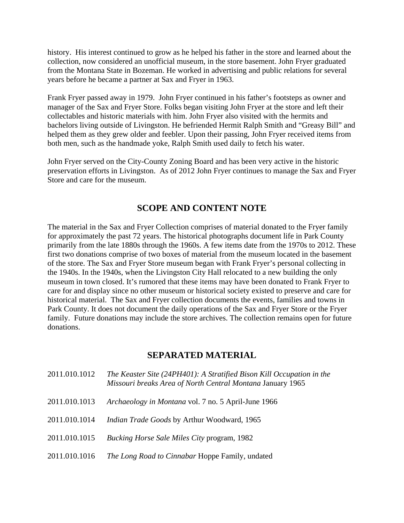history. His interest continued to grow as he helped his father in the store and learned about the collection, now considered an unofficial museum, in the store basement. John Fryer graduated from the Montana State in Bozeman. He worked in advertising and public relations for several years before he became a partner at Sax and Fryer in 1963.

Frank Fryer passed away in 1979. John Fryer continued in his father's footsteps as owner and manager of the Sax and Fryer Store. Folks began visiting John Fryer at the store and left their collectables and historic materials with him. John Fryer also visited with the hermits and bachelors living outside of Livingston. He befriended Hermit Ralph Smith and "Greasy Bill" and helped them as they grew older and feebler. Upon their passing, John Fryer received items from both men, such as the handmade yoke, Ralph Smith used daily to fetch his water.

John Fryer served on the City-County Zoning Board and has been very active in the historic preservation efforts in Livingston. As of 2012 John Fryer continues to manage the Sax and Fryer Store and care for the museum.

### **SCOPE AND CONTENT NOTE**

The material in the Sax and Fryer Collection comprises of material donated to the Fryer family for approximately the past 72 years. The historical photographs document life in Park County primarily from the late 1880s through the 1960s. A few items date from the 1970s to 2012. These first two donations comprise of two boxes of material from the museum located in the basement of the store. The Sax and Fryer Store museum began with Frank Fryer's personal collecting in the 1940s. In the 1940s, when the Livingston City Hall relocated to a new building the only museum in town closed. It's rumored that these items may have been donated to Frank Fryer to care for and display since no other museum or historical society existed to preserve and care for historical material. The Sax and Fryer collection documents the events, families and towns in Park County. It does not document the daily operations of the Sax and Fryer Store or the Fryer family. Future donations may include the store archives. The collection remains open for future donations.

### **SEPARATED MATERIAL**

| 2011.010.1012 | The Keaster Site (24PH401): A Stratified Bison Kill Occupation in the<br>Missouri breaks Area of North Central Montana January 1965 |
|---------------|-------------------------------------------------------------------------------------------------------------------------------------|
| 2011.010.1013 | <i>Archaeology in Montana vol.</i> 7 no. 5 April-June 1966                                                                          |
| 2011.010.1014 | Indian Trade Goods by Arthur Woodward, 1965                                                                                         |
| 2011.010.1015 | <i>Bucking Horse Sale Miles City program, 1982</i>                                                                                  |
| 2011.010.1016 | <i>The Long Road to Cinnabar</i> Hoppe Family, undated                                                                              |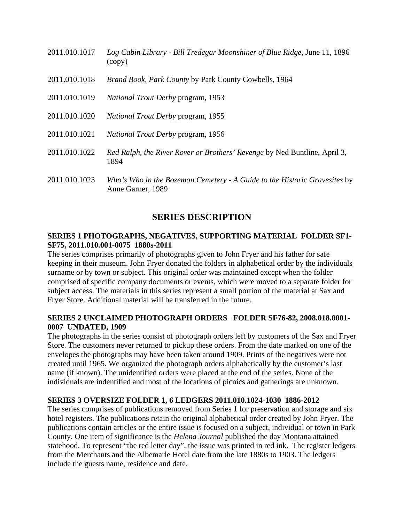| 2011.010.1017 | Log Cabin Library - Bill Tredegar Moonshiner of Blue Ridge, June 11, 1896<br>(copy)            |
|---------------|------------------------------------------------------------------------------------------------|
| 2011.010.1018 | Brand Book, Park County by Park County Cowbells, 1964                                          |
| 2011.010.1019 | <i>National Trout Derby program, 1953</i>                                                      |
| 2011.010.1020 | <i>National Trout Derby program, 1955</i>                                                      |
| 2011.010.1021 | National Trout Derby program, 1956                                                             |
| 2011.010.1022 | Red Ralph, the River Rover or Brothers' Revenge by Ned Buntline, April 3,<br>1894              |
| 2011.010.1023 | Who's Who in the Bozeman Cemetery - A Guide to the Historic Gravesites by<br>Anne Garner, 1989 |

### **SERIES DESCRIPTION**

#### **SERIES 1 PHOTOGRAPHS, NEGATIVES, SUPPORTING MATERIAL FOLDER SF1- SF75, 2011.010.001-0075 1880s-2011**

The series comprises primarily of photographs given to John Fryer and his father for safe keeping in their museum. John Fryer donated the folders in alphabetical order by the individuals surname or by town or subject. This original order was maintained except when the folder comprised of specific company documents or events, which were moved to a separate folder for subject access. The materials in this series represent a small portion of the material at Sax and Fryer Store. Additional material will be transferred in the future.

#### **SERIES 2 UNCLAIMED PHOTOGRAPH ORDERS FOLDER SF76-82, 2008.018.0001- 0007 UNDATED, 1909**

The photographs in the series consist of photograph orders left by customers of the Sax and Fryer Store. The customers never returned to pickup these orders. From the date marked on one of the envelopes the photographs may have been taken around 1909. Prints of the negatives were not created until 1965. We organized the photograph orders alphabetically by the customer's last name (if known). The unidentified orders were placed at the end of the series. None of the individuals are indentified and most of the locations of picnics and gatherings are unknown.

#### **SERIES 3 OVERSIZE FOLDER 1, 6 LEDGERS 2011.010.1024-1030 1886-2012**

The series comprises of publications removed from Series 1 for preservation and storage and six hotel registers. The publications retain the original alphabetical order created by John Fryer. The publications contain articles or the entire issue is focused on a subject, individual or town in Park County. One item of significance is the *Helena Journal* published the day Montana attained statehood. To represent "the red letter day", the issue was printed in red ink. The register ledgers from the Merchants and the Albemarle Hotel date from the late 1880s to 1903. The ledgers include the guests name, residence and date.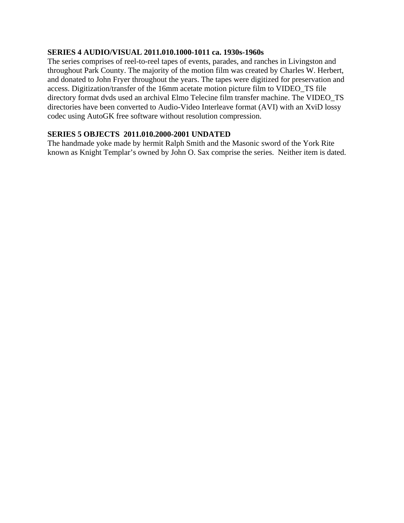#### **SERIES 4 AUDIO/VISUAL 2011.010.1000-1011 ca. 1930s-1960s**

The series comprises of reel-to-reel tapes of events, parades, and ranches in Livingston and throughout Park County. The majority of the motion film was created by Charles W. Herbert, and donated to John Fryer throughout the years. The tapes were digitized for preservation and access. Digitization/transfer of the 16mm acetate motion picture film to VIDEO\_TS file directory format dvds used an archival Elmo Telecine film transfer machine. The VIDEO\_TS directories have been converted to Audio-Video Interleave format (AVI) with an XviD lossy codec using AutoGK free software without resolution compression.

#### **SERIES 5 OBJECTS 2011.010.2000-2001 UNDATED**

The handmade yoke made by hermit Ralph Smith and the Masonic sword of the York Rite known as Knight Templar's owned by John O. Sax comprise the series. Neither item is dated.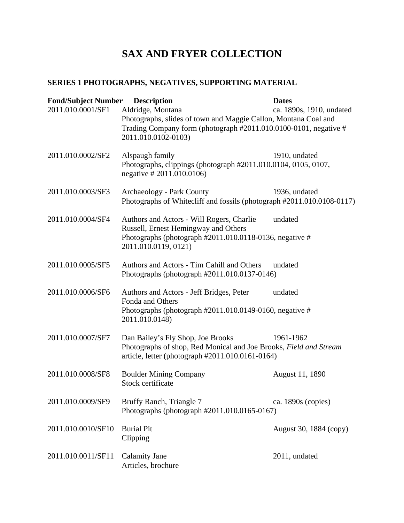## **SERIES 1 PHOTOGRAPHS, NEGATIVES, SUPPORTING MATERIAL**

| <b>Fond/Subject Number</b> | <b>Description</b>                                                                                                                                                              | <b>Dates</b>             |
|----------------------------|---------------------------------------------------------------------------------------------------------------------------------------------------------------------------------|--------------------------|
| 2011.010.0001/SF1          | Aldridge, Montana<br>Photographs, slides of town and Maggie Callon, Montana Coal and<br>Trading Company form (photograph #2011.010.0100-0101, negative #<br>2011.010.0102-0103) | ca. 1890s, 1910, undated |
| 2011.010.0002/SF2          | Alspaugh family<br>Photographs, clippings (photograph #2011.010.0104, 0105, 0107,<br>negative # 2011.010.0106)                                                                  | 1910, undated            |
| 2011.010.0003/SF3          | Archaeology - Park County<br>Photographs of Whitecliff and fossils (photograph #2011.010.0108-0117)                                                                             | 1936, undated            |
| 2011.010.0004/SF4          | Authors and Actors - Will Rogers, Charlie<br>Russell, Ernest Hemingway and Others<br>Photographs (photograph #2011.010.0118-0136, negative #<br>2011.010.0119, 0121)            | undated                  |
| 2011.010.0005/SF5          | Authors and Actors - Tim Cahill and Others<br>Photographs (photograph #2011.010.0137-0146)                                                                                      | undated                  |
| 2011.010.0006/SF6          | Authors and Actors - Jeff Bridges, Peter<br>Fonda and Others<br>Photographs (photograph $#2011.010.0149-0160$ , negative $#$<br>2011.010.0148)                                  | undated                  |
| 2011.010.0007/SF7          | Dan Bailey's Fly Shop, Joe Brooks<br>Photographs of shop, Red Monical and Joe Brooks, Field and Stream<br>article, letter (photograph #2011.010.0161-0164)                      | 1961-1962                |
| 2011.010.0008/SF8          | <b>Boulder Mining Company</b><br>Stock certificate                                                                                                                              | August 11, 1890          |
| 2011.010.0009/SF9          | Bruffy Ranch, Triangle 7<br>Photographs (photograph #2011.010.0165-0167)                                                                                                        | ca. 1890s (copies)       |
| 2011.010.0010/SF10         | <b>Burial Pit</b><br>Clipping                                                                                                                                                   | August 30, 1884 (copy)   |
| 2011.010.0011/SF11         | <b>Calamity Jane</b><br>Articles, brochure                                                                                                                                      | 2011, undated            |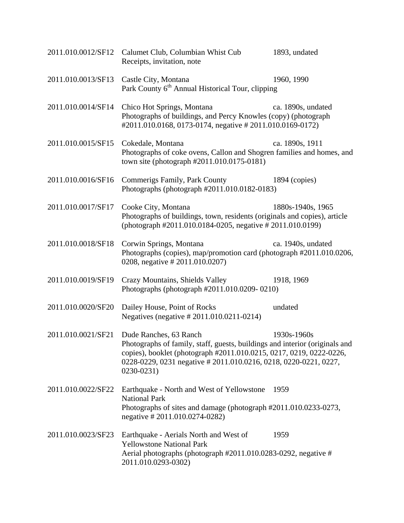|                    | 2011.010.0012/SF12 Calumet Club, Columbian Whist Cub<br>Receipts, invitation, note                                                                                                                                                                                | 1893, undated      |
|--------------------|-------------------------------------------------------------------------------------------------------------------------------------------------------------------------------------------------------------------------------------------------------------------|--------------------|
| 2011.010.0013/SF13 | Castle City, Montana<br>Park County 6 <sup>th</sup> Annual Historical Tour, clipping                                                                                                                                                                              | 1960, 1990         |
| 2011.010.0014/SF14 | Chico Hot Springs, Montana<br>Photographs of buildings, and Percy Knowles (copy) (photograph<br>#2011.010.0168, 0173-0174, negative #2011.010.0169-0172)                                                                                                          | ca. 1890s, undated |
| 2011.010.0015/SF15 | Cokedale, Montana<br>Photographs of coke ovens, Callon and Shogren families and homes, and<br>town site (photograph #2011.010.0175-0181)                                                                                                                          | ca. 1890s, 1911    |
| 2011.010.0016/SF16 | Commerigs Family, Park County<br>Photographs (photograph #2011.010.0182-0183)                                                                                                                                                                                     | 1894 (copies)      |
| 2011.010.0017/SF17 | Cooke City, Montana<br>Photographs of buildings, town, residents (originals and copies), article<br>(photograph #2011.010.0184-0205, negative #2011.010.0199)                                                                                                     | 1880s-1940s, 1965  |
| 2011.010.0018/SF18 | Corwin Springs, Montana<br>Photographs (copies), map/promotion card (photograph #2011.010.0206,<br>0208, negative # 2011.010.0207)                                                                                                                                | ca. 1940s, undated |
| 2011.010.0019/SF19 | Crazy Mountains, Shields Valley<br>Photographs (photograph #2011.010.0209-0210)                                                                                                                                                                                   | 1918, 1969         |
| 2011.010.0020/SF20 | Dailey House, Point of Rocks<br>Negatives (negative #2011.010.0211-0214)                                                                                                                                                                                          | undated            |
| 2011.010.0021/SF21 | Dude Ranches, 63 Ranch<br>Photographs of family, staff, guests, buildings and interior (originals and<br>copies), booklet (photograph #2011.010.0215, 0217, 0219, 0222-0226,<br>0228-0229, 0231 negative # 2011.010.0216, 0218, 0220-0221, 0227,<br>$0230 - 0231$ | 1930s-1960s        |
| 2011.010.0022/SF22 | Earthquake - North and West of Yellowstone<br><b>National Park</b><br>Photographs of sites and damage (photograph #2011.010.0233-0273,<br>negative #2011.010.0274-0282)                                                                                           | 1959               |
| 2011.010.0023/SF23 | Earthquake - Aerials North and West of<br><b>Yellowstone National Park</b><br>Aerial photographs (photograph #2011.010.0283-0292, negative #<br>2011.010.0293-0302)                                                                                               | 1959               |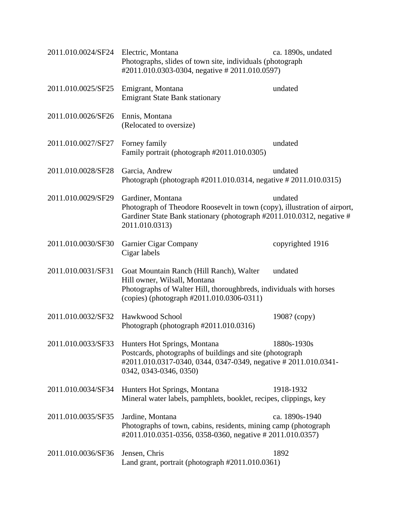| 2011.010.0024/SF24 | Electric, Montana<br>Photographs, slides of town site, individuals (photograph<br>#2011.010.0303-0304, negative # 2011.010.0597)                                                                          | ca. 1890s, undated |
|--------------------|-----------------------------------------------------------------------------------------------------------------------------------------------------------------------------------------------------------|--------------------|
| 2011.010.0025/SF25 | Emigrant, Montana<br><b>Emigrant State Bank stationary</b>                                                                                                                                                | undated            |
| 2011.010.0026/SF26 | Ennis, Montana<br>(Relocated to oversize)                                                                                                                                                                 |                    |
| 2011.010.0027/SF27 | Forney family<br>Family portrait (photograph #2011.010.0305)                                                                                                                                              | undated            |
| 2011.010.0028/SF28 | Garcia, Andrew<br>Photograph (photograph #2011.010.0314, negative #2011.010.0315)                                                                                                                         | undated            |
| 2011.010.0029/SF29 | Gardiner, Montana<br>Photograph of Theodore Roosevelt in town (copy), illustration of airport,<br>Gardiner State Bank stationary (photograph #2011.010.0312, negative #<br>2011.010.0313)                 | undated            |
| 2011.010.0030/SF30 | Garnier Cigar Company<br>Cigar labels                                                                                                                                                                     | copyrighted 1916   |
| 2011.010.0031/SF31 | Goat Mountain Ranch (Hill Ranch), Walter<br>Hill owner, Wilsall, Montana<br>Photographs of Walter Hill, thoroughbreds, individuals with horses<br>(copies) (photograph #2011.010.0306-0311)               | undated            |
| 2011.010.0032/SF32 | Hawkwood School<br>Photograph (photograph #2011.010.0316)                                                                                                                                                 | 1908? (copy)       |
|                    | 2011.010.0033/SF33 Hunters Hot Springs, Montana<br>Postcards, photographs of buildings and site (photograph)<br>#2011.010.0317-0340, 0344, 0347-0349, negative # 2011.010.0341-<br>0342, 0343-0346, 0350) | 1880s-1930s        |
| 2011.010.0034/SF34 | Hunters Hot Springs, Montana<br>Mineral water labels, pamphlets, booklet, recipes, clippings, key                                                                                                         | 1918-1932          |
| 2011.010.0035/SF35 | Jardine, Montana<br>Photographs of town, cabins, residents, mining camp (photograph)<br>#2011.010.0351-0356, 0358-0360, negative # 2011.010.0357)                                                         | ca. 1890s-1940     |
| 2011.010.0036/SF36 | Jensen, Chris<br>Land grant, portrait (photograph #2011.010.0361)                                                                                                                                         | 1892               |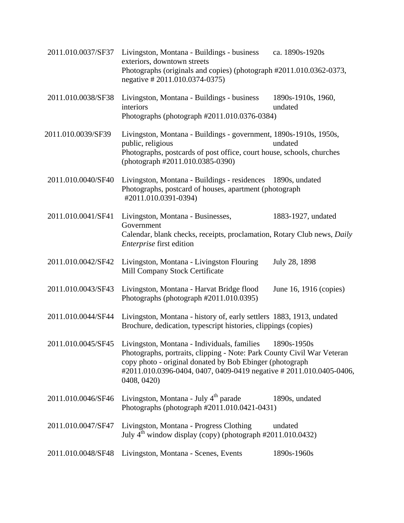| 2011.010.0037/SF37 | Livingston, Montana - Buildings - business<br>exteriors, downtown streets<br>Photographs (originals and copies) (photograph #2011.010.0362-0373,<br>negative #2011.010.0374-0375)                                                                                                                      | ca. 1890s-1920s               |
|--------------------|--------------------------------------------------------------------------------------------------------------------------------------------------------------------------------------------------------------------------------------------------------------------------------------------------------|-------------------------------|
| 2011.010.0038/SF38 | Livingston, Montana - Buildings - business<br>interiors<br>Photographs (photograph #2011.010.0376-0384)                                                                                                                                                                                                | 1890s-1910s, 1960,<br>undated |
| 2011.010.0039/SF39 | Livingston, Montana - Buildings - government, 1890s-1910s, 1950s,<br>public, religious<br>Photographs, postcards of post office, court house, schools, churches<br>(photograph #2011.010.0385-0390)                                                                                                    | undated                       |
| 2011.010.0040/SF40 | Livingston, Montana - Buildings - residences 1890s, undated<br>Photographs, postcard of houses, apartment (photograph<br>#2011.010.0391-0394)                                                                                                                                                          |                               |
| 2011.010.0041/SF41 | Livingston, Montana - Businesses,<br>Government<br>Calendar, blank checks, receipts, proclamation, Rotary Club news, Daily<br><i>Enterprise</i> first edition                                                                                                                                          | 1883-1927, undated            |
| 2011.010.0042/SF42 | Livingston, Montana - Livingston Flouring<br>Mill Company Stock Certificate                                                                                                                                                                                                                            | July 28, 1898                 |
| 2011.010.0043/SF43 | Livingston, Montana - Harvat Bridge flood<br>Photographs (photograph #2011.010.0395)                                                                                                                                                                                                                   | June 16, 1916 (copies)        |
| 2011.010.0044/SF44 | Livingston, Montana - history of, early settlers 1883, 1913, undated<br>Brochure, dedication, typescript histories, clippings (copies)                                                                                                                                                                 |                               |
|                    | 2011.010.0045/SF45 Livingston, Montana - Individuals, families 1890s-1950s<br>Photographs, portraits, clipping - Note: Park County Civil War Veteran<br>copy photo - original donated by Bob Ebinger (photograph<br>#2011.010.0396-0404, 0407, 0409-0419 negative # 2011.010.0405-0406,<br>0408, 0420) |                               |
| 2011.010.0046/SF46 | Livingston, Montana - July 4 <sup>th</sup> parade<br>Photographs (photograph #2011.010.0421-0431)                                                                                                                                                                                                      | 1890s, undated                |
| 2011.010.0047/SF47 | Livingston, Montana - Progress Clothing<br>July $4^{th}$ window display (copy) (photograph $\#2011.010.0432$ )                                                                                                                                                                                         | undated                       |
| 2011.010.0048/SF48 | Livingston, Montana - Scenes, Events                                                                                                                                                                                                                                                                   | 1890s-1960s                   |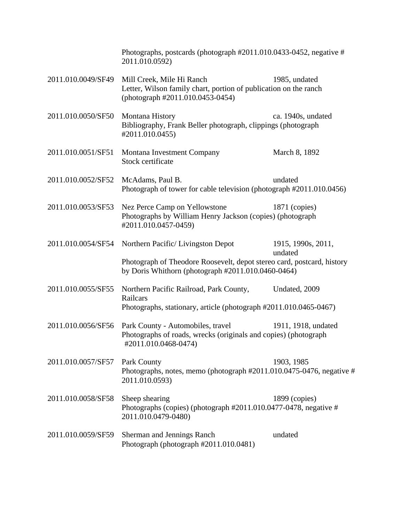|                    | Photographs, postcards (photograph #2011.010.0433-0452, negative #<br>2011.010.0592)                                              |                               |
|--------------------|-----------------------------------------------------------------------------------------------------------------------------------|-------------------------------|
| 2011.010.0049/SF49 | Mill Creek, Mile Hi Ranch<br>Letter, Wilson family chart, portion of publication on the ranch<br>(photograph #2011.010.0453-0454) | 1985, undated                 |
| 2011.010.0050/SF50 | Montana History<br>Bibliography, Frank Beller photograph, clippings (photograph<br>#2011.010.0455)                                | ca. 1940s, undated            |
| 2011.010.0051/SF51 | Montana Investment Company<br>Stock certificate                                                                                   | March 8, 1892                 |
| 2011.010.0052/SF52 | McAdams, Paul B.<br>Photograph of tower for cable television (photograph #2011.010.0456)                                          | undated                       |
| 2011.010.0053/SF53 | Nez Perce Camp on Yellowstone<br>Photographs by William Henry Jackson (copies) (photograph<br>#2011.010.0457-0459)                | $1871$ (copies)               |
| 2011.010.0054/SF54 | Northern Pacific/Livingston Depot                                                                                                 | 1915, 1990s, 2011,<br>undated |
|                    | Photograph of Theodore Roosevelt, depot stereo card, postcard, history<br>by Doris Whithorn (photograph $#2011.010.0460-0464$ )   |                               |
| 2011.010.0055/SF55 | Northern Pacific Railroad, Park County,<br>Railcars<br>Photographs, stationary, article (photograph #2011.010.0465-0467)          | Undated, 2009                 |
| 2011.010.0056/SF56 | Park County - Automobiles, travel<br>Photographs of roads, wrecks (originals and copies) (photograph<br>#2011.010.0468-0474)      | 1911, 1918, undated           |
| 2011.010.0057/SF57 | Park County<br>Photographs, notes, memo (photograph #2011.010.0475-0476, negative #<br>2011.010.0593)                             | 1903, 1985                    |
| 2011.010.0058/SF58 | Sheep shearing<br>Photographs (copies) (photograph $\#2011.010.0477-0478$ , negative $\#$<br>2011.010.0479-0480)                  | 1899 (copies)                 |
| 2011.010.0059/SF59 | Sherman and Jennings Ranch<br>Photograph (photograph #2011.010.0481)                                                              | undated                       |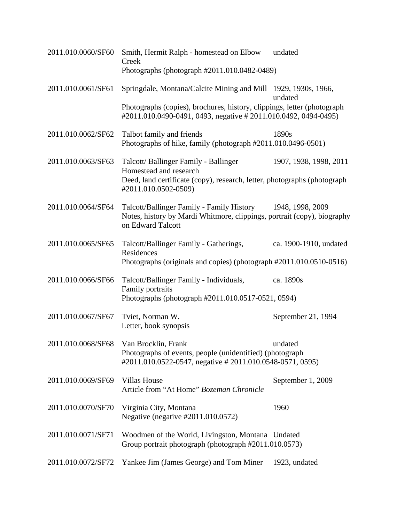| 2011.010.0060/SF60                     | Smith, Hermit Ralph - homestead on Elbow<br>Creek<br>Photographs (photograph #2011.010.0482-0489)                                                          | undated                |
|----------------------------------------|------------------------------------------------------------------------------------------------------------------------------------------------------------|------------------------|
|                                        |                                                                                                                                                            |                        |
| 2011.010.0061/SF61                     | Springdale, Montana/Calcite Mining and Mill 1929, 1930s, 1966,                                                                                             | undated                |
|                                        | Photographs (copies), brochures, history, clippings, letter (photograph<br>#2011.010.0490-0491, 0493, negative # 2011.010.0492, 0494-0495)                 |                        |
| 2011.010.0062/SF62                     | Talbot family and friends<br>Photographs of hike, family (photograph #2011.010.0496-0501)                                                                  | 1890s                  |
| 2011.010.0063/SF63                     | Talcott/Ballinger Family - Ballinger<br>Homestead and research<br>Deed, land certificate (copy), research, letter, photographs (photograph                 | 1907, 1938, 1998, 2011 |
|                                        | #2011.010.0502-0509)                                                                                                                                       |                        |
| 2011.010.0064/SF64                     | Talcott/Ballinger Family - Family History 1948, 1998, 2009<br>Notes, history by Mardi Whitmore, clippings, portrait (copy), biography<br>on Edward Talcott |                        |
| 2011.010.0065/SF65                     | Talcott/Ballinger Family - Gatherings,<br>Residences<br>Photographs (originals and copies) (photograph #2011.010.0510-0516)                                | ca. 1900-1910, undated |
| 2011.010.0066/SF66                     | Talcott/Ballinger Family - Individuals,<br>Family portraits                                                                                                | ca. 1890s              |
|                                        | Photographs (photograph #2011.010.0517-0521, 0594)                                                                                                         |                        |
| 2011.010.0067/SF67                     | Tviet, Norman W.<br>Letter, book synopsis                                                                                                                  | September 21, 1994     |
| 2011.010.0068/SF68 Van Brocklin, Frank | Photographs of events, people (unidentified) (photograph<br>#2011.010.0522-0547, negative # 2011.010.0548-0571, 0595)                                      | undated                |
| 2011.010.0069/SF69                     | <b>Villas House</b><br>Article from "At Home" Bozeman Chronicle                                                                                            | September 1, 2009      |
| 2011.010.0070/SF70                     | Virginia City, Montana<br>Negative (negative #2011.010.0572)                                                                                               | 1960                   |
| 2011.010.0071/SF71                     | Woodmen of the World, Livingston, Montana Undated<br>Group portrait photograph (photograph #2011.010.0573)                                                 |                        |
| 2011.010.0072/SF72                     | Yankee Jim (James George) and Tom Miner                                                                                                                    | 1923, undated          |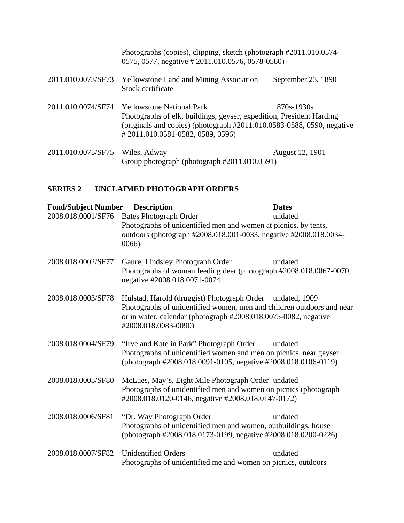Photographs (copies), clipping, sketch (photograph #2011.010.0574- 0575, 0577, negative # 2011.010.0576, 0578-0580)

| 2011.010.0073/SF73 Yellowstone Land and Mining Association | September 23, 1890 |
|------------------------------------------------------------|--------------------|
| Stock certificate                                          |                    |

- 2011.010.0074/SF74 Yellowstone National Park 1870s-1930s Photographs of elk, buildings, geyser, expedition, President Harding (originals and copies) (photograph #2011.010.0583-0588, 0590, negative # 2011.010.0581-0582, 0589, 0596)
- 2011.010.0075/SF75 Wiles, Adway August 12, 1901 Group photograph (photograph #2011.010.0591)

#### **SERIES 2 UNCLAIMED PHOTOGRAPH ORDERS**

| <b>Fond/Subject Number</b> | <b>Description</b>                                                                                                                                                                                                            | <b>Dates</b> |
|----------------------------|-------------------------------------------------------------------------------------------------------------------------------------------------------------------------------------------------------------------------------|--------------|
| 2008.018.0001/SF76         | <b>Bates Photograph Order</b><br>Photographs of unidentified men and women at picnics, by tents,<br>outdoors (photograph #2008.018.001-0033, negative #2008.018.0034-<br>0066                                                 | undated      |
| 2008.018.0002/SF77         | Gaure, Lindsley Photograph Order<br>Photographs of woman feeding deer (photograph #2008.018.0067-0070,<br>negative #2008.018.0071-0074                                                                                        | undated      |
| 2008.018.0003/SF78         | Hulstad, Harold (druggist) Photograph Order undated, 1909<br>Photographs of unidentified women, men and children outdoors and near<br>or in water, calendar (photograph #2008.018.0075-0082, negative<br>#2008.018.0083-0090) |              |
| 2008.018.0004/SF79         | "Irve and Kate in Park" Photograph Order<br>Photographs of unidentified women and men on picnics, near geyser<br>(photograph #2008.018.0091-0105, negative #2008.018.0106-0119)                                               | undated      |
| 2008.018.0005/SF80         | McLues, May's, Eight Mile Photograph Order undated<br>Photographs of unidentified men and women on picnics (photograph<br>#2008.018.0120-0146, negative #2008.018.0147-0172)                                                  |              |
| 2008.018.0006/SF81         | "Dr. Way Photograph Order"<br>Photographs of unidentified men and women, outbuildings, house<br>(photograph #2008.018.0173-0199, negative #2008.018.0200-0226)                                                                | undated      |
| 2008.018.0007/SF82         | <b>Unidentified Orders</b><br>Photographs of unidentified me and women on picnics, outdoors                                                                                                                                   | undated      |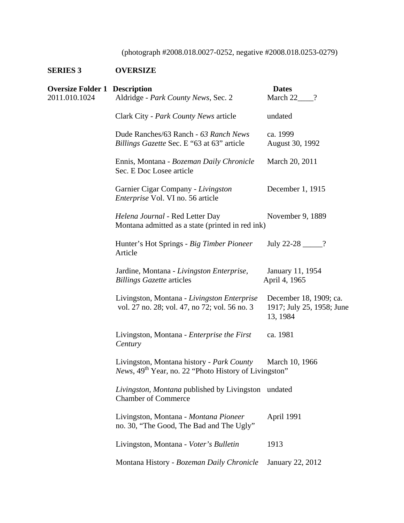## (photograph #2008.018.0027-0252, negative #2008.018.0253-0279)

## **SERIES 3 OVERSIZE**

| <b>Oversize Folder 1 Description</b> |                                                                                                                        | <b>Dates</b>                                                    |
|--------------------------------------|------------------------------------------------------------------------------------------------------------------------|-----------------------------------------------------------------|
| 2011.010.1024                        | Aldridge - Park County News, Sec. 2                                                                                    | March 22_<br>$\gamma$                                           |
|                                      | Clark City - Park County News article                                                                                  | undated                                                         |
|                                      | Dude Ranches/63 Ranch - 63 Ranch News<br>Billings Gazette Sec. E "63 at 63" article                                    | ca. 1999<br>August 30, 1992                                     |
|                                      | Ennis, Montana - Bozeman Daily Chronicle<br>Sec. E Doc Losee article                                                   | March 20, 2011                                                  |
|                                      | Garnier Cigar Company - Livingston<br><i>Enterprise</i> Vol. VI no. 56 article                                         | December 1, 1915                                                |
|                                      | Helena Journal - Red Letter Day<br>Montana admitted as a state (printed in red ink)                                    | November 9, 1889                                                |
|                                      | Hunter's Hot Springs - Big Timber Pioneer<br>Article                                                                   | July 22-28 ______?                                              |
|                                      | Jardine, Montana - Livingston Enterprise,<br><b>Billings Gazette articles</b>                                          | January 11, 1954<br>April 4, 1965                               |
|                                      | Livingston, Montana - Livingston Enterprise<br>vol. 27 no. 28; vol. 47, no 72; vol. 56 no. 3                           | December 18, 1909; ca.<br>1917; July 25, 1958; June<br>13, 1984 |
|                                      | Livingston, Montana - Enterprise the First<br>Century                                                                  | ca. 1981                                                        |
|                                      | Livingston, Montana history - Park County<br><i>News</i> , 49 <sup>th</sup> Year, no. 22 "Photo History of Livingston" | March 10, 1966                                                  |
|                                      | Livingston, Montana published by Livingston undated<br><b>Chamber of Commerce</b>                                      |                                                                 |
|                                      | Livingston, Montana - Montana Pioneer<br>no. 30, "The Good, The Bad and The Ugly"                                      | April 1991                                                      |
|                                      | Livingston, Montana - Voter's Bulletin                                                                                 | 1913                                                            |
|                                      | Montana History - Bozeman Daily Chronicle                                                                              | January 22, 2012                                                |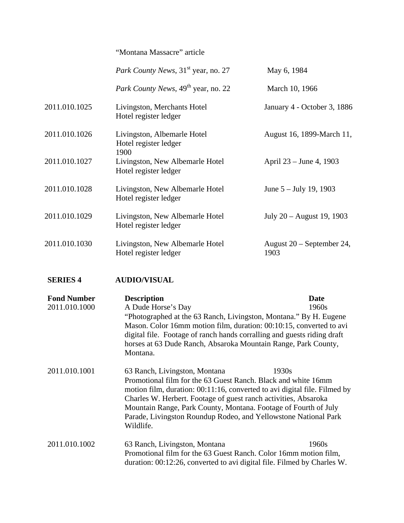# "Montana Massacre" article *Park County News*,  $31^{st}$  year, no. 27 May 6, 1984 *Park County News*,  $49^{th}$  year, no. 22 March 10, 1966 2011.010.1025 Livingston, Merchants Hotel January 4 - October 3, 1886 Hotel register ledger 2011.010.1026 Livingston, Albemarle Hotel August 16, 1899-March 11, Hotel register ledger 1900 2011.010.1027 Livingston, New Albemarle Hotel April 23 – June 4, 1903 Hotel register ledger 2011.010.1028 Livingston, New Albemarle Hotel June 5 – July 19, 1903 Hotel register ledger 2011.010.1029 Livingston, New Albemarle Hotel July 20 – August 19, 1903 Hotel register ledger 2011.010.1030 Livingston, New Albemarle Hotel August 20 – September 24, Hotel register ledger 1903

#### **SERIES 4 AUDIO/VISUAL**

| <b>Fond Number</b> | <b>Description</b>                                                                                                                                                                                                                                                                                                                                                                                | <b>Date</b> |
|--------------------|---------------------------------------------------------------------------------------------------------------------------------------------------------------------------------------------------------------------------------------------------------------------------------------------------------------------------------------------------------------------------------------------------|-------------|
| 2011.010.1000      | A Dude Horse's Day                                                                                                                                                                                                                                                                                                                                                                                | 1960s       |
|                    | "Photographed at the 63 Ranch, Livingston, Montana." By H. Eugene<br>Mason. Color 16mm motion film, duration: 00:10:15, converted to avi<br>digital file. Footage of ranch hands corralling and guests riding draft<br>horses at 63 Dude Ranch, Absaroka Mountain Range, Park County,<br>Montana.                                                                                                 |             |
|                    |                                                                                                                                                                                                                                                                                                                                                                                                   |             |
| 2011.010.1001      | 63 Ranch, Livingston, Montana<br>Promotional film for the 63 Guest Ranch. Black and white 16mm<br>motion film, duration: 00:11:16, converted to avi digital file. Filmed by<br>Charles W. Herbert. Footage of guest ranch activities, Absaroka<br>Mountain Range, Park County, Montana. Footage of Fourth of July<br>Parade, Livingston Roundup Rodeo, and Yellowstone National Park<br>Wildlife. | 1930s       |
| 2011.010.1002      | 63 Ranch, Livingston, Montana<br>Promotional film for the 63 Guest Ranch. Color 16mm motion film,<br>duration: 00:12:26, converted to avi digital file. Filmed by Charles W.                                                                                                                                                                                                                      | 1960s       |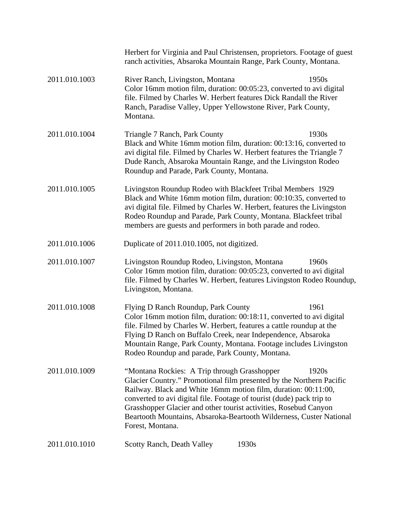|               | Herbert for Virginia and Paul Christensen, proprietors. Footage of guest<br>ranch activities, Absaroka Mountain Range, Park County, Montana.                                                                                                                                                                                                                                                                                            |  |
|---------------|-----------------------------------------------------------------------------------------------------------------------------------------------------------------------------------------------------------------------------------------------------------------------------------------------------------------------------------------------------------------------------------------------------------------------------------------|--|
| 2011.010.1003 | 1950s<br>River Ranch, Livingston, Montana<br>Color 16mm motion film, duration: 00:05:23, converted to avi digital<br>file. Filmed by Charles W. Herbert features Dick Randall the River<br>Ranch, Paradise Valley, Upper Yellowstone River, Park County,<br>Montana.                                                                                                                                                                    |  |
| 2011.010.1004 | Triangle 7 Ranch, Park County<br>1930s<br>Black and White 16mm motion film, duration: 00:13:16, converted to<br>avi digital file. Filmed by Charles W. Herbert features the Triangle 7<br>Dude Ranch, Absaroka Mountain Range, and the Livingston Rodeo<br>Roundup and Parade, Park County, Montana.                                                                                                                                    |  |
| 2011.010.1005 | Livingston Roundup Rodeo with Blackfeet Tribal Members 1929<br>Black and White 16mm motion film, duration: 00:10:35, converted to<br>avi digital file. Filmed by Charles W. Herbert, features the Livingston<br>Rodeo Roundup and Parade, Park County, Montana. Blackfeet tribal<br>members are guests and performers in both parade and rodeo.                                                                                         |  |
| 2011.010.1006 | Duplicate of 2011.010.1005, not digitized.                                                                                                                                                                                                                                                                                                                                                                                              |  |
| 2011.010.1007 | Livingston Roundup Rodeo, Livingston, Montana<br>1960s<br>Color 16mm motion film, duration: 00:05:23, converted to avi digital<br>file. Filmed by Charles W. Herbert, features Livingston Rodeo Roundup,<br>Livingston, Montana.                                                                                                                                                                                                        |  |
| 2011.010.1008 | Flying D Ranch Roundup, Park County<br>1961<br>Color 16mm motion film, duration: 00:18:11, converted to avi digital<br>file. Filmed by Charles W. Herbert, features a cattle roundup at the<br>Flying D Ranch on Buffalo Creek, near Independence, Absaroka<br>Mountain Range, Park County, Montana. Footage includes Livingston<br>Rodeo Roundup and parade, Park County, Montana.                                                     |  |
| 2011.010.1009 | "Montana Rockies: A Trip through Grasshopper<br>1920s<br>Glacier Country." Promotional film presented by the Northern Pacific<br>Railway. Black and White 16mm motion film, duration: 00:11:00,<br>converted to avi digital file. Footage of tourist (dude) pack trip to<br>Grasshopper Glacier and other tourist activities, Rosebud Canyon<br>Beartooth Mountains, Absaroka-Beartooth Wilderness, Custer National<br>Forest, Montana. |  |
| 2011.010.1010 | <b>Scotty Ranch, Death Valley</b><br>1930s                                                                                                                                                                                                                                                                                                                                                                                              |  |